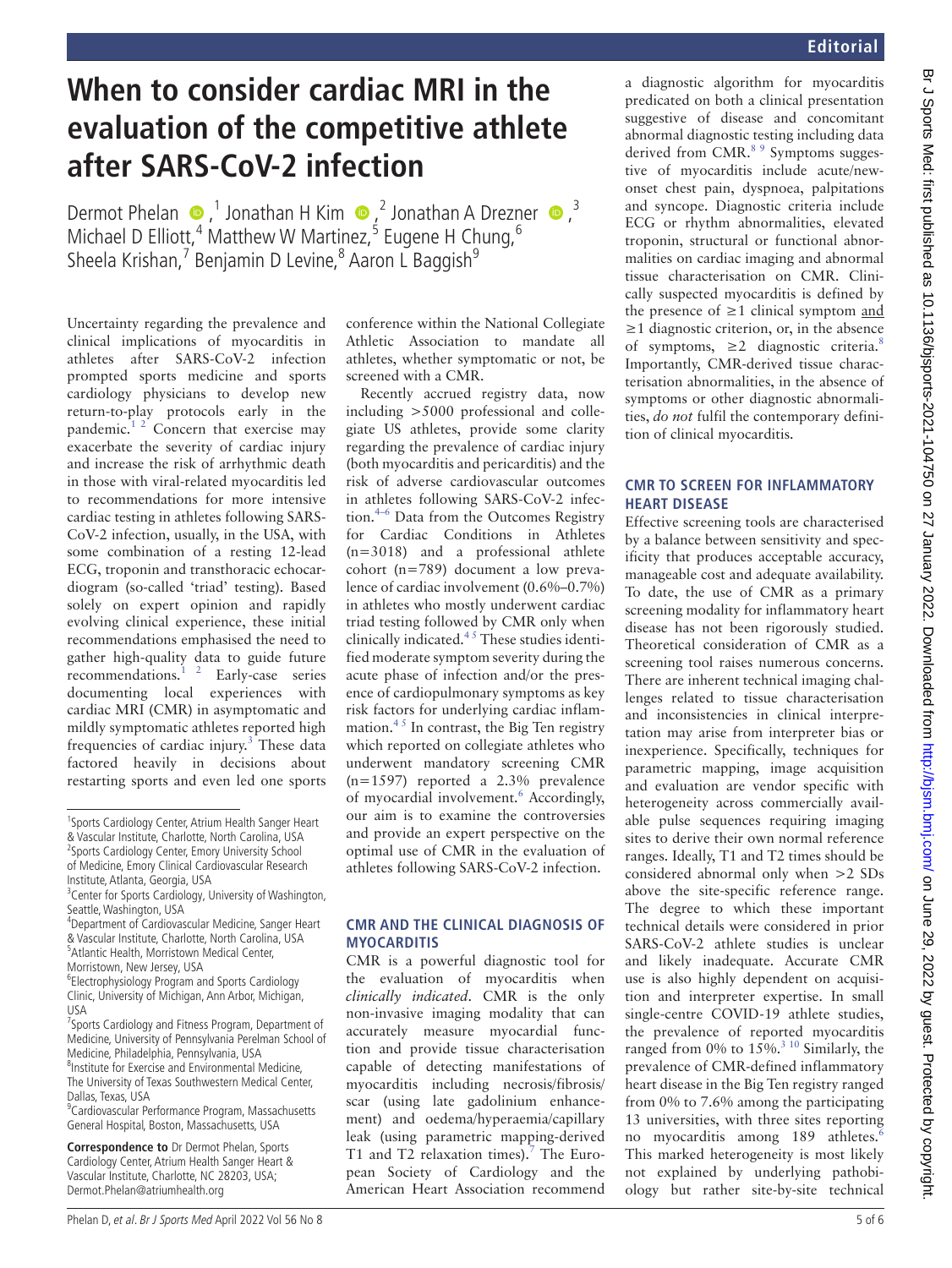# **Editorial**

# **When to consider cardiac MRI in the evaluation of the competitive athlete after SARS-CoV-2 infection**

DermotPhelan  $\bullet$ ,<sup>1</sup> Jonathan H Kim  $\bullet$ ,<sup>2</sup> Jonathan A Drezner  $\bullet$ ,<sup>3</sup> Michael D Elliott, <sup>4</sup> Matthew W Martinez, <sup>5</sup> Eugene H Chung, <sup>6</sup> Sheela Krishan,<sup>7</sup> Benjamin D Levine,<sup>8</sup> Aaron L Baggish<sup>9</sup>

Uncertainty regarding the prevalence and clinical implications of myocarditis in athletes after SARS-CoV-2 infection prompted sports medicine and sports cardiology physicians to develop new return-to-play protocols early in the pandemic. $1/2$  Concern that exercise may exacerbate the severity of cardiac injury and increase the risk of arrhythmic death in those with viral-related myocarditis led to recommendations for more intensive cardiac testing in athletes following SARS-CoV-2 infection, usually, in the USA, with some combination of a resting 12-lead ECG, troponin and transthoracic echocardiogram (so-called 'triad' testing). Based solely on expert opinion and rapidly evolving clinical experience, these initial recommendations emphasised the need to gather high-quality data to guide future recommendations. $1^2$  Early-case series documenting local experiences with cardiac MRI (CMR) in asymptomatic and mildly symptomatic athletes reported high frequencies of cardiac injury. $3$  These data factored heavily in decisions about restarting sports and even led one sports

**Correspondence to** Dr Dermot Phelan, Sports Cardiology Center, Atrium Health Sanger Heart & Vascular Institute, Charlotte, NC 28203, USA; Dermot.Phelan@atriumhealth.org

conference within the National Collegiate Athletic Association to mandate all athletes, whether symptomatic or not, be screened with a CMR.

Recently accrued registry data, now including >5000 professional and collegiate US athletes, provide some clarity regarding the prevalence of cardiac injury (both myocarditis and pericarditis) and the risk of adverse cardiovascular outcomes in athletes following SARS-CoV-2 infection.4–6 Data from the Outcomes Registry for Cardiac Conditions in Athletes (n=3018) and a professional athlete cohort (n=789) document a low prevalence of cardiac involvement (0.6%–0.7%) in athletes who mostly underwent cardiac triad testing followed by CMR only when clinically indicated.4 5 These studies identified moderate symptom severity during the acute phase of infection and/or the presence of cardiopulmonary symptoms as key risk factors for underlying cardiac inflammation. $45$  In contrast, the Big Ten registry which reported on collegiate athletes who underwent mandatory screening CMR (n=1597) reported a 2.3% prevalence of myocardial involvement.<sup>6</sup> Accordingly, our aim is to examine the controversies and provide an expert perspective on the optimal use of CMR in the evaluation of athletes following SARS-CoV-2 infection.

## **CMR and the clinical diagnosis of myocarditis**

CMR is a powerful diagnostic tool for the evaluation of myocarditis when *clinically indicated*. CMR is the only non-invasive imaging modality that can accurately measure myocardial function and provide tissue characterisation capable of detecting manifestations of myocarditis including necrosis/fibrosis/ scar (using late gadolinium enhancement) and oedema/hyperaemia/capillary leak (using parametric mapping-derived T1 and T2 relaxation times).<sup>7</sup> The European Society of Cardiology and the American Heart Association recommend a diagnostic algorithm for myocarditis predicated on both a clinical presentation suggestive of disease and concomitant abnormal diagnostic testing including data derived from CMR.<sup>8 9</sup> Symptoms suggestive of myocarditis include acute/newonset chest pain, dyspnoea, palpitations and syncope. Diagnostic criteria include ECG or rhythm abnormalities, elevated troponin, structural or functional abnormalities on cardiac imaging and abnormal tissue characterisation on CMR. Clinically suspected myocarditis is defined by the presence of  $\geq$ 1 clinical symptom and  $\geq$ 1 diagnostic criterion, or, in the absence of symptoms,  $\geq 2$  diagnostic criteria.<sup>8</sup> Importantly, CMR-derived tissue characterisation abnormalities, in the absence of symptoms or other diagnostic abnormalities, *do not* fulfil the contemporary definition of clinical myocarditis.

## **CMR to screen for inflammatory heart disease**

Effective screening tools are characterised by a balance between sensitivity and specificity that produces acceptable accuracy, manageable cost and adequate availability. To date, the use of CMR as a primary screening modality for inflammatory heart disease has not been rigorously studied. Theoretical consideration of CMR as a screening tool raises numerous concerns. There are inherent technical imaging challenges related to tissue characterisation and inconsistencies in clinical interpretation may arise from interpreter bias or inexperience. Specifically, techniques for parametric mapping, image acquisition and evaluation are vendor specific with heterogeneity across commercially available pulse sequences requiring imaging sites to derive their own normal reference ranges. Ideally, T1 and T2 times should be considered abnormal only when >2 SDs above the site-specific reference range. The degree to which these important technical details were considered in prior SARS-CoV-2 athlete studies is unclear and likely inadequate. Accurate CMR use is also highly dependent on acquisition and interpreter expertise. In small single-centre COVID-19 athlete studies, the prevalence of reported myocarditis ranged from 0% to  $15\%$ .<sup>3 10</sup> Similarly, the prevalence of CMR-defined inflammatory heart disease in the Big Ten registry ranged from 0% to 7.6% among the participating 13 universities, with three sites reporting no myocarditis among 189 athletes.<sup>6</sup> This marked heterogeneity is most likely not explained by underlying pathobiology but rather site-by-site technical

<sup>&</sup>lt;sup>1</sup>Sports Cardiology Center, Atrium Health Sanger Heart & Vascular Institute, Charlotte, North Carolina, USA <sup>2</sup> Sports Cardiology Center, Emory University School of Medicine, Emory Clinical Cardiovascular Research

Institute, Atlanta, Georgia, USA

<sup>&</sup>lt;sup>3</sup> Center for Sports Cardiology, University of Washington, Seattle, Washington, USA

<sup>4</sup> Department of Cardiovascular Medicine, Sanger Heart & Vascular Institute, Charlotte, North Carolina, USA 5 Atlantic Health, Morristown Medical Center, Morristown, New Jersey, USA

<sup>6</sup> Electrophysiology Program and Sports Cardiology Clinic, University of Michigan, Ann Arbor, Michigan, USA

<sup>&</sup>lt;sup>7</sup> Sports Cardiology and Fitness Program, Department of Medicine, University of Pennsylvania Perelman School of Medicine, Philadelphia, Pennsylvania, USA 8 Institute for Exercise and Environmental Medicine, The University of Texas Southwestern Medical Center, Dallas, Texas, USA

<sup>9</sup> Cardiovascular Performance Program, Massachusetts General Hospital, Boston, Massachusetts, USA